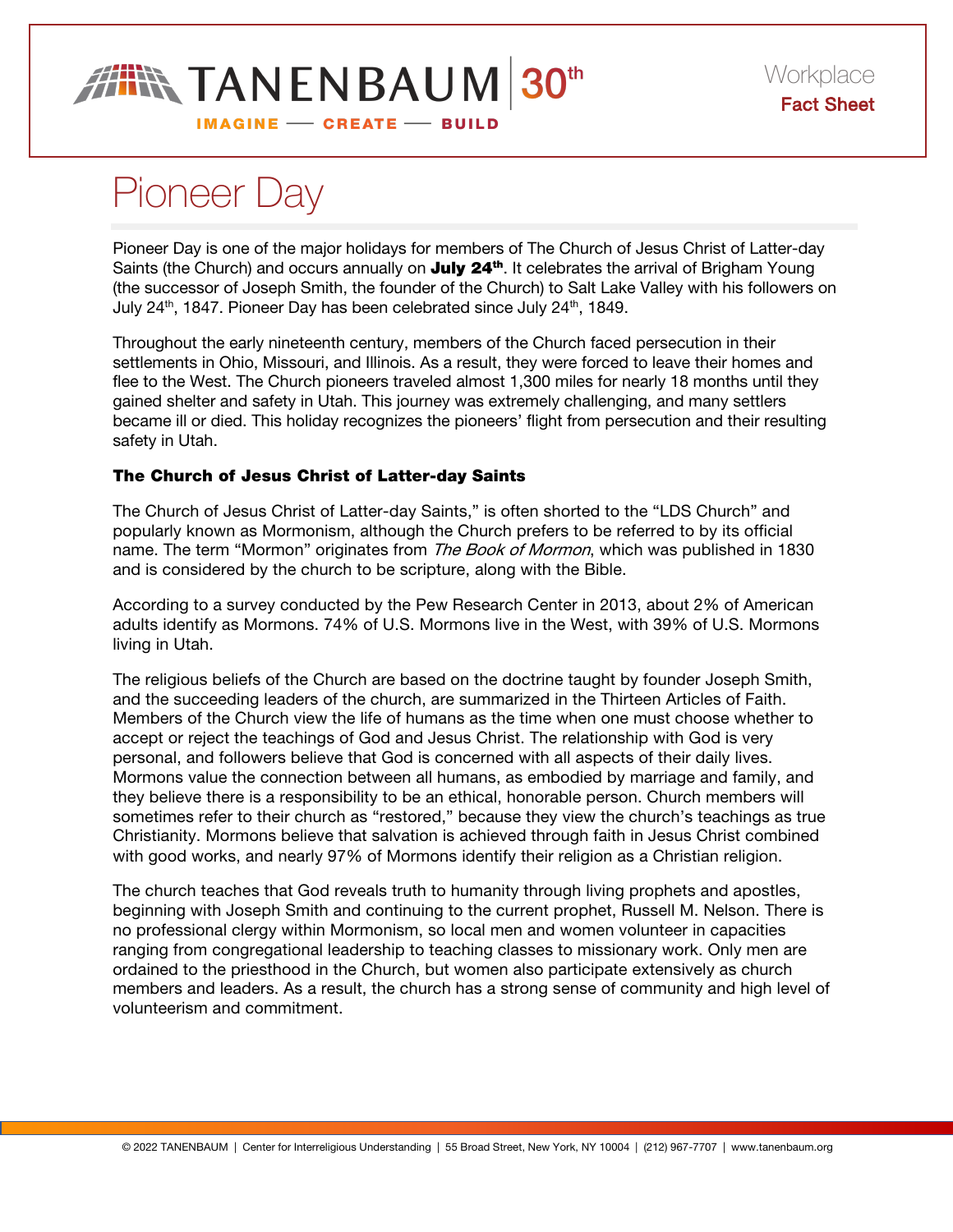

# Pioneer Day

Pioneer Day is one of the major holidays for members of The Church of Jesus Christ of Latter-day Saints (the Church) and occurs annually on **July 24<sup>th</sup>**. It celebrates the arrival of Brigham Young (the successor of Joseph Smith, the founder of the Church) to Salt Lake Valley with his followers on July 24<sup>th</sup>, 1847. Pioneer Day has been celebrated since July 24<sup>th</sup>, 1849.

Throughout the early nineteenth century, members of the Church faced persecution in their settlements in Ohio, Missouri, and Illinois. As a result, they were forced to leave their homes and flee to the West. The Church pioneers traveled almost 1,300 miles for nearly 18 months until they gained shelter and safety in Utah. This journey was extremely challenging, and many settlers became ill or died. This holiday recognizes the pioneers' flight from persecution and their resulting safety in Utah.

# The Church of Jesus Christ of Latter-day Saints

The Church of Jesus Christ of Latter-day Saints," is often shorted to the "LDS Church" and popularly known as Mormonism, although the Church prefers to be referred to by its official name. The term "Mormon" originates from The Book of Mormon, which was published in 1830 and is considered by the church to be scripture, along with the Bible.

According to a survey conducted by the Pew Research Center in 2013, about 2% of American adults identify as Mormons. 74% of U.S. Mormons live in the West, with 39% of U.S. Mormons living in Utah.

The religious beliefs of the Church are based on the doctrine taught by founder Joseph Smith, and the succeeding leaders of the church, are summarized in the Thirteen Articles of Faith. Members of the Church view the life of humans as the time when one must choose whether to accept or reject the teachings of God and Jesus Christ. The relationship with God is very personal, and followers believe that God is concerned with all aspects of their daily lives. Mormons value the connection between all humans, as embodied by marriage and family, and they believe there is a responsibility to be an ethical, honorable person. Church members will sometimes refer to their church as "restored," because they view the church's teachings as true Christianity. Mormons believe that salvation is achieved through faith in Jesus Christ combined with good works, and nearly 97% of Mormons identify their religion as a Christian religion.

The church teaches that God reveals truth to humanity through living prophets and apostles, beginning with Joseph Smith and continuing to the current prophet, Russell M. Nelson. There is no professional clergy within Mormonism, so local men and women volunteer in capacities ranging from congregational leadership to teaching classes to missionary work. Only men are ordained to the priesthood in the Church, but women also participate extensively as church members and leaders. As a result, the church has a strong sense of community and high level of volunteerism and commitment.